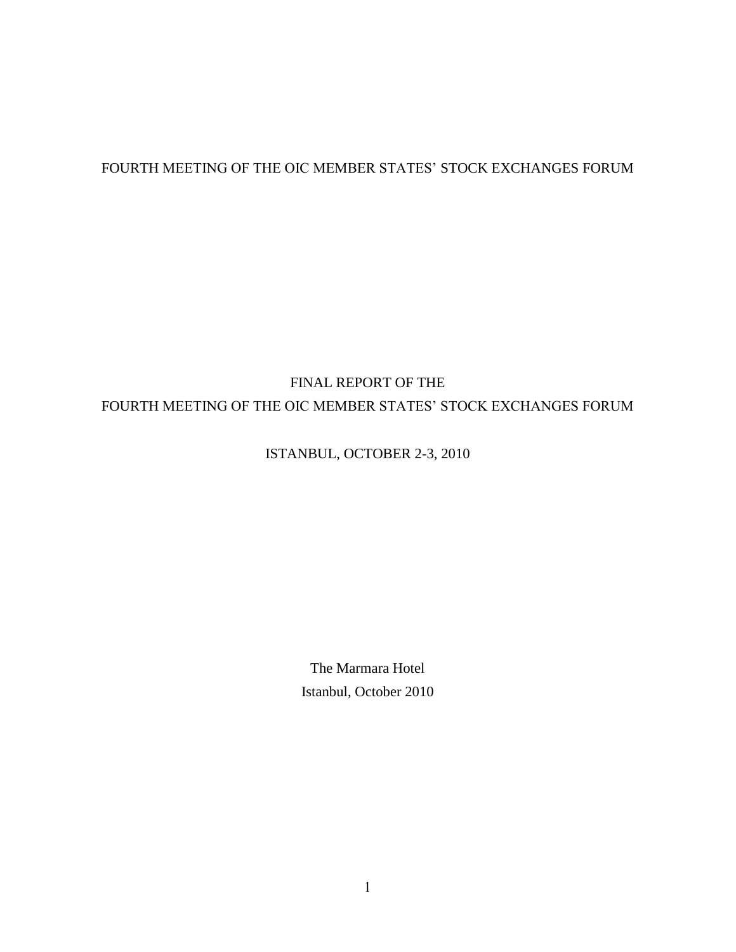## FOURTH MEETING OF THE OIC MEMBER STATES' STOCK EXCHANGES FORUM

# FINAL REPORT OF THE FOURTH MEETING OF THE OIC MEMBER STATES' STOCK EXCHANGES FORUM

## ISTANBUL, OCTOBER 2-3, 2010

The Marmara Hotel Istanbul, October 2010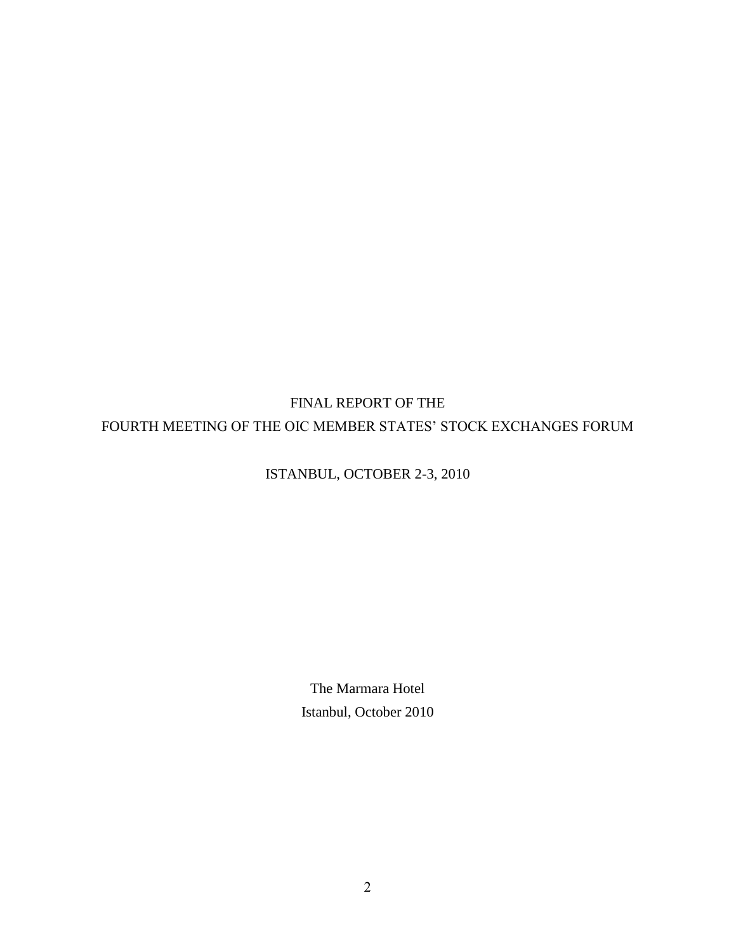# FINAL REPORT OF THE FOURTH MEETING OF THE OIC MEMBER STATES" STOCK EXCHANGES FORUM

## ISTANBUL, OCTOBER 2-3, 2010

The Marmara Hotel Istanbul, October 2010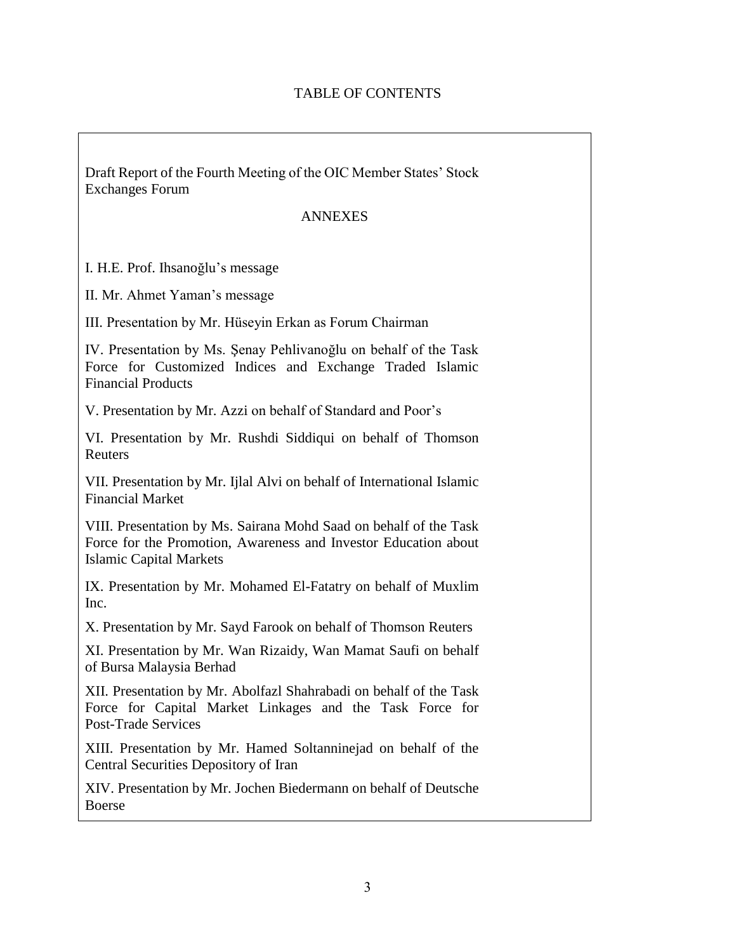### TABLE OF CONTENTS

Draft Report of the Fourth Meeting of the OIC Member States" Stock Exchanges Forum

#### ANNEXES

I. H.E. Prof. Ihsanoğlu"s message

II. Mr. Ahmet Yaman"s message

III. Presentation by Mr. Hüseyin Erkan as Forum Chairman

IV. Presentation by Ms. Şenay Pehlivanoğlu on behalf of the Task Force for Customized Indices and Exchange Traded Islamic Financial Products

V. Presentation by Mr. Azzi on behalf of Standard and Poor"s

VI. Presentation by Mr. Rushdi Siddiqui on behalf of Thomson Reuters

VII. Presentation by Mr. Ijlal Alvi on behalf of International Islamic Financial Market

VIII. Presentation by Ms. Sairana Mohd Saad on behalf of the Task Force for the Promotion, Awareness and Investor Education about Islamic Capital Markets

IX. Presentation by Mr. Mohamed El-Fatatry on behalf of Muxlim Inc.

X. Presentation by Mr. Sayd Farook on behalf of Thomson Reuters

XI. Presentation by Mr. Wan Rizaidy, Wan Mamat Saufi on behalf of Bursa Malaysia Berhad

XII. Presentation by Mr. Abolfazl Shahrabadi on behalf of the Task Force for Capital Market Linkages and the Task Force for Post-Trade Services

XIII. Presentation by Mr. Hamed Soltanninejad on behalf of the Central Securities Depository of Iran

XIV. Presentation by Mr. Jochen Biedermann on behalf of Deutsche Boerse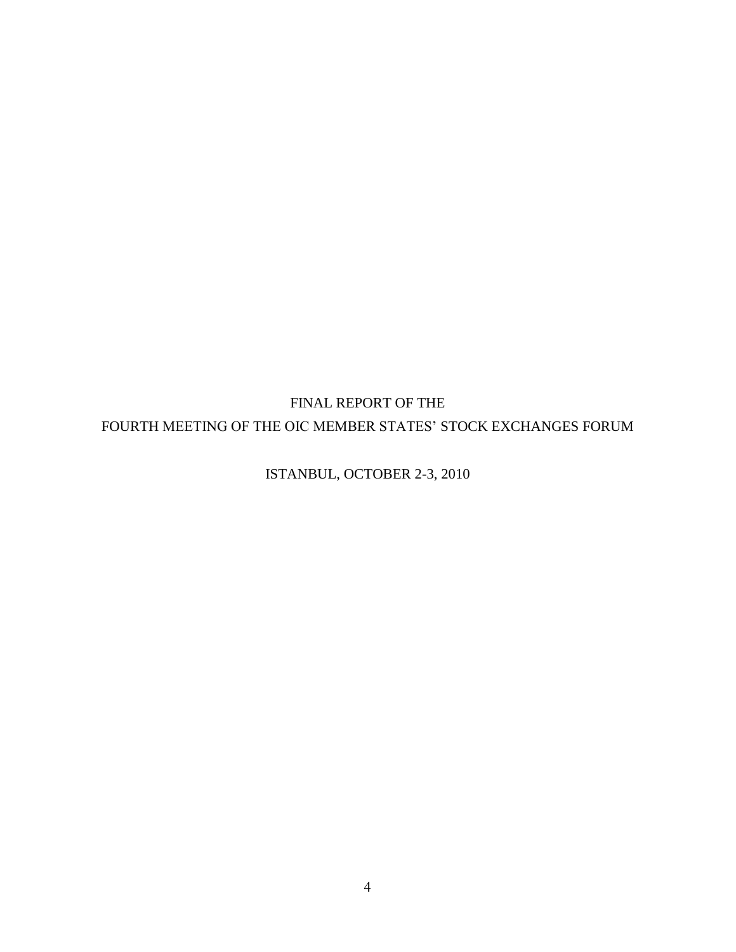FINAL REPORT OF THE FOURTH MEETING OF THE OIC MEMBER STATES' STOCK EXCHANGES FORUM

ISTANBUL, OCTOBER 2-3, 2010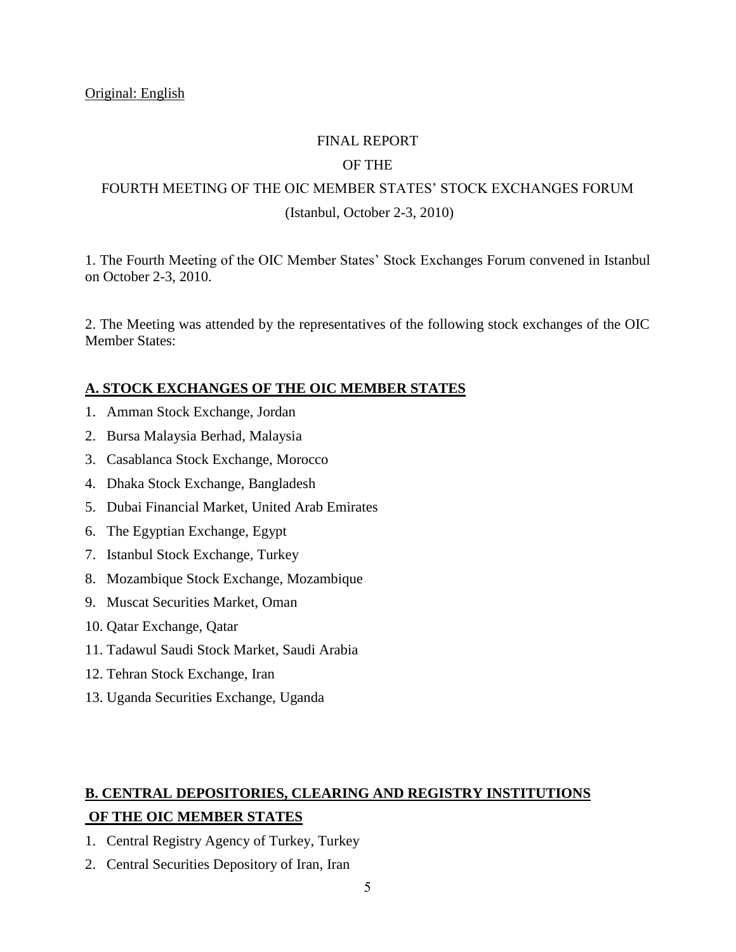#### FINAL REPORT

### OF THE

## FOURTH MEETING OF THE OIC MEMBER STATES" STOCK EXCHANGES FORUM (Istanbul, October 2-3, 2010)

1. The Fourth Meeting of the OIC Member States" Stock Exchanges Forum convened in Istanbul on October 2-3, 2010.

2. The Meeting was attended by the representatives of the following stock exchanges of the OIC Member States:

#### **A. STOCK EXCHANGES OF THE OIC MEMBER STATES**

- 1. Amman Stock Exchange, Jordan
- 2. Bursa Malaysia Berhad, Malaysia
- 3. Casablanca Stock Exchange, Morocco
- 4. Dhaka Stock Exchange, Bangladesh
- 5. Dubai Financial Market, United Arab Emirates
- 6. The Egyptian Exchange, Egypt
- 7. Istanbul Stock Exchange, Turkey
- 8. Mozambique Stock Exchange, Mozambique
- 9. Muscat Securities Market, Oman
- 10. Qatar Exchange, Qatar
- 11. Tadawul Saudi Stock Market, Saudi Arabia
- 12. Tehran Stock Exchange, Iran
- 13. Uganda Securities Exchange, Uganda

## **B. CENTRAL DEPOSITORIES, CLEARING AND REGISTRY INSTITUTIONS OF THE OIC MEMBER STATES**

- 1. Central Registry Agency of Turkey, Turkey
- 2. Central Securities Depository of Iran, Iran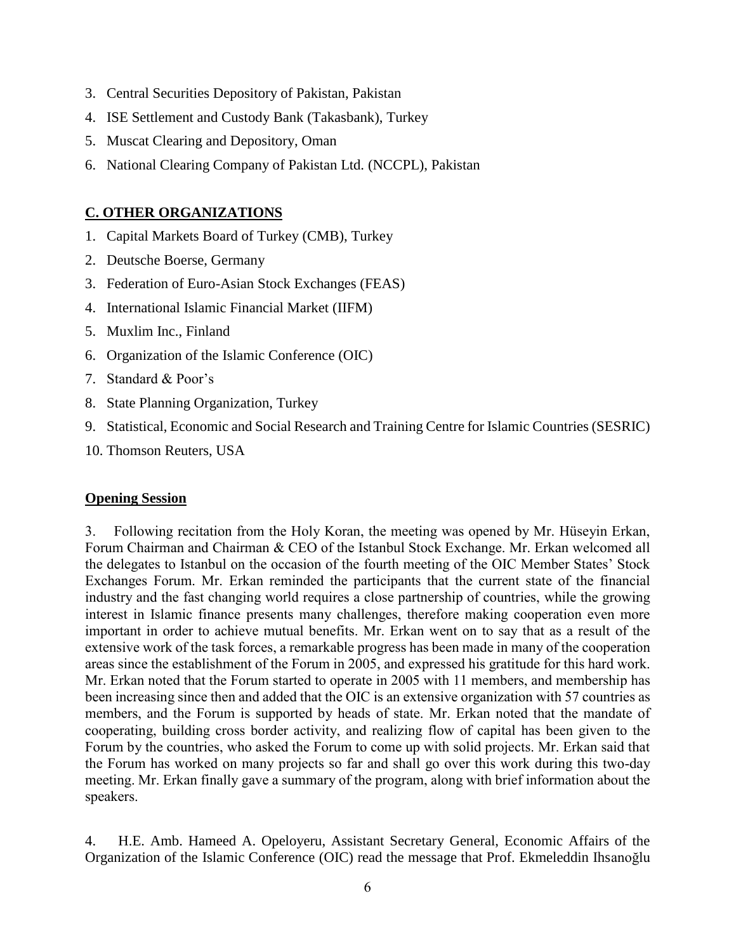- 3. Central Securities Depository of Pakistan, Pakistan
- 4. ISE Settlement and Custody Bank (Takasbank), Turkey
- 5. Muscat Clearing and Depository, Oman
- 6. National Clearing Company of Pakistan Ltd. (NCCPL), Pakistan

### **C. OTHER ORGANIZATIONS**

- 1. Capital Markets Board of Turkey (CMB), Turkey
- 2. Deutsche Boerse, Germany
- 3. Federation of Euro-Asian Stock Exchanges (FEAS)
- 4. International Islamic Financial Market (IIFM)
- 5. Muxlim Inc., Finland
- 6. Organization of the Islamic Conference (OIC)
- 7. Standard & Poor"s
- 8. State Planning Organization, Turkey
- 9. Statistical, Economic and Social Research and Training Centre for Islamic Countries (SESRIC)
- 10. Thomson Reuters, USA

#### **Opening Session**

3. Following recitation from the Holy Koran, the meeting was opened by Mr. Hüseyin Erkan, Forum Chairman and Chairman & CEO of the Istanbul Stock Exchange. Mr. Erkan welcomed all the delegates to Istanbul on the occasion of the fourth meeting of the OIC Member States' Stock Exchanges Forum. Mr. Erkan reminded the participants that the current state of the financial industry and the fast changing world requires a close partnership of countries, while the growing interest in Islamic finance presents many challenges, therefore making cooperation even more important in order to achieve mutual benefits. Mr. Erkan went on to say that as a result of the extensive work of the task forces, a remarkable progress has been made in many of the cooperation areas since the establishment of the Forum in 2005, and expressed his gratitude for this hard work. Mr. Erkan noted that the Forum started to operate in 2005 with 11 members, and membership has been increasing since then and added that the OIC is an extensive organization with 57 countries as members, and the Forum is supported by heads of state. Mr. Erkan noted that the mandate of cooperating, building cross border activity, and realizing flow of capital has been given to the Forum by the countries, who asked the Forum to come up with solid projects. Mr. Erkan said that the Forum has worked on many projects so far and shall go over this work during this two-day meeting. Mr. Erkan finally gave a summary of the program, along with brief information about the speakers.

4. H.E. Amb. Hameed A. Opeloyeru, Assistant Secretary General, Economic Affairs of the Organization of the Islamic Conference (OIC) read the message that Prof. Ekmeleddin Ihsanoğlu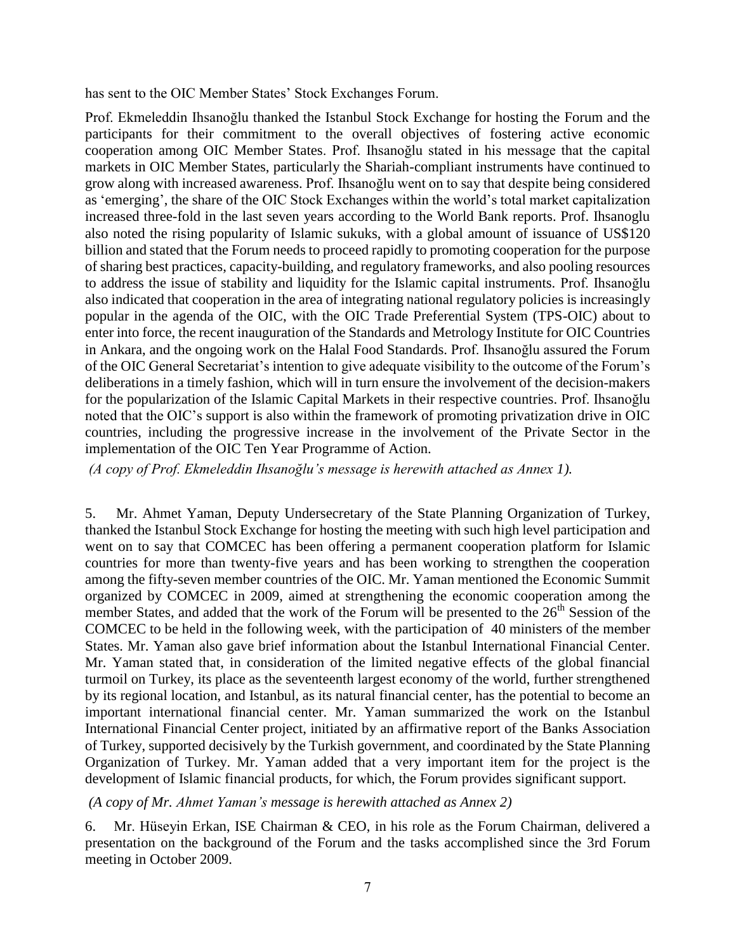has sent to the OIC Member States' Stock Exchanges Forum.

Prof. Ekmeleddin Ihsanoğlu thanked the Istanbul Stock Exchange for hosting the Forum and the participants for their commitment to the overall objectives of fostering active economic cooperation among OIC Member States. Prof. Ihsanoğlu stated in his message that the capital markets in OIC Member States, particularly the Shariah-compliant instruments have continued to grow along with increased awareness. Prof. Ihsanoğlu went on to say that despite being considered as "emerging", the share of the OIC Stock Exchanges within the world"s total market capitalization increased three-fold in the last seven years according to the World Bank reports. Prof. Ihsanoglu also noted the rising popularity of Islamic sukuks, with a global amount of issuance of US\$120 billion and stated that the Forum needs to proceed rapidly to promoting cooperation for the purpose of sharing best practices, capacity-building, and regulatory frameworks, and also pooling resources to address the issue of stability and liquidity for the Islamic capital instruments. Prof. Ihsanoğlu also indicated that cooperation in the area of integrating national regulatory policies is increasingly popular in the agenda of the OIC, with the OIC Trade Preferential System (TPS-OIC) about to enter into force, the recent inauguration of the Standards and Metrology Institute for OIC Countries in Ankara, and the ongoing work on the Halal Food Standards. Prof. Ihsanoğlu assured the Forum of the OIC General Secretariat"s intention to give adequate visibility to the outcome of the Forum"s deliberations in a timely fashion, which will in turn ensure the involvement of the decision-makers for the popularization of the Islamic Capital Markets in their respective countries. Prof. Ihsanoğlu noted that the OIC"s support is also within the framework of promoting privatization drive in OIC countries, including the progressive increase in the involvement of the Private Sector in the implementation of the OIC Ten Year Programme of Action.

*(A copy of Prof. Ekmeleddin Ihsanoğlu's message is herewith attached as Annex 1).*

5. Mr. Ahmet Yaman, Deputy Undersecretary of the State Planning Organization of Turkey, thanked the Istanbul Stock Exchange for hosting the meeting with such high level participation and went on to say that COMCEC has been offering a permanent cooperation platform for Islamic countries for more than twenty-five years and has been working to strengthen the cooperation among the fifty-seven member countries of the OIC. Mr. Yaman mentioned the Economic Summit organized by COMCEC in 2009, aimed at strengthening the economic cooperation among the member States, and added that the work of the Forum will be presented to the  $26<sup>th</sup>$  Session of the COMCEC to be held in the following week, with the participation of 40 ministers of the member States. Mr. Yaman also gave brief information about the Istanbul International Financial Center. Mr. Yaman stated that, in consideration of the limited negative effects of the global financial turmoil on Turkey, its place as the seventeenth largest economy of the world, further strengthened by its regional location, and Istanbul, as its natural financial center, has the potential to become an important international financial center. Mr. Yaman summarized the work on the Istanbul International Financial Center project, initiated by an affirmative report of the Banks Association of Turkey, supported decisively by the Turkish government, and coordinated by the State Planning Organization of Turkey. Mr. Yaman added that a very important item for the project is the development of Islamic financial products, for which, the Forum provides significant support.

*(A copy of Mr. Ahmet Yaman's message is herewith attached as Annex 2)*

6.Mr. Hüseyin Erkan, ISE Chairman & CEO, in his role as the Forum Chairman, delivered a presentation on the background of the Forum and the tasks accomplished since the 3rd Forum meeting in October 2009.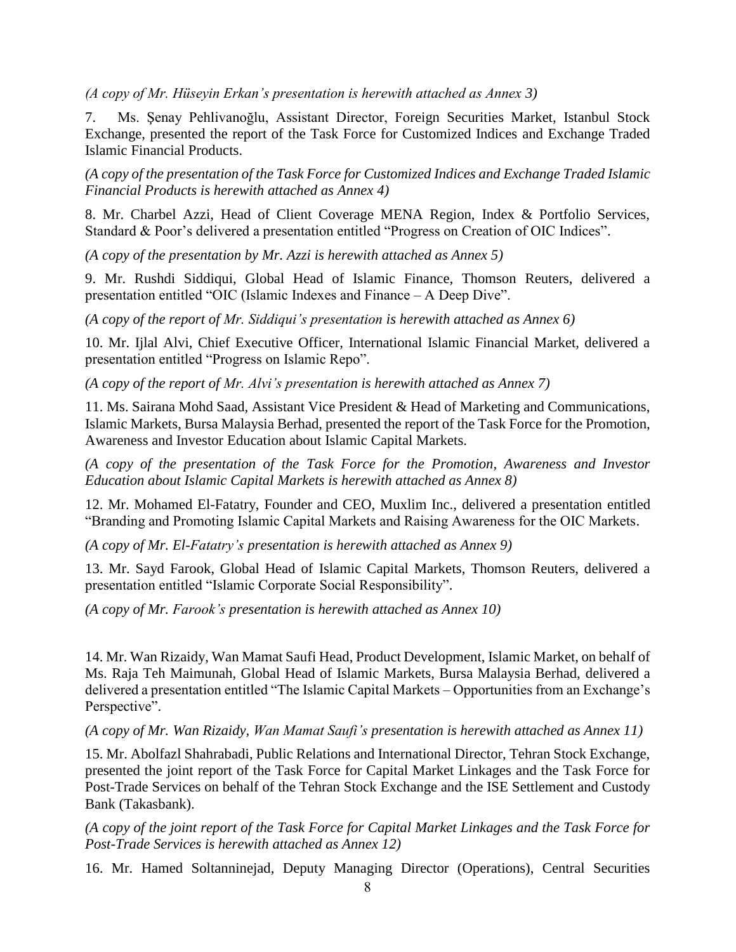*(A copy of Mr. Hüseyin Erkan's presentation is herewith attached as Annex 3)*

7. Ms. Şenay Pehlivanoğlu, Assistant Director, Foreign Securities Market, Istanbul Stock Exchange, presented the report of the Task Force for Customized Indices and Exchange Traded Islamic Financial Products.

*(A copy of the presentation of the Task Force for Customized Indices and Exchange Traded Islamic Financial Products is herewith attached as Annex 4)*

8. Mr. Charbel Azzi, Head of Client Coverage MENA Region, Index & Portfolio Services, Standard & Poor's delivered a presentation entitled "Progress on Creation of OIC Indices".

*(A copy of the presentation by Mr. Azzi is herewith attached as Annex 5)*

9. Mr. Rushdi Siddiqui, Global Head of Islamic Finance, Thomson Reuters, delivered a presentation entitled "OIC (Islamic Indexes and Finance – A Deep Dive".

*(A copy of the report of Mr. Siddiqui's presentation is herewith attached as Annex 6)*

10. Mr. Ijlal Alvi, Chief Executive Officer, International Islamic Financial Market, delivered a presentation entitled "Progress on Islamic Repo".

*(A copy of the report of Mr. Alvi's presentation is herewith attached as Annex 7)*

11. Ms. Sairana Mohd Saad, Assistant Vice President & Head of Marketing and Communications, Islamic Markets, Bursa Malaysia Berhad, presented the report of the Task Force for the Promotion, Awareness and Investor Education about Islamic Capital Markets.

*(A copy of the presentation of the Task Force for the Promotion, Awareness and Investor Education about Islamic Capital Markets is herewith attached as Annex 8)*

12. Mr. Mohamed El-Fatatry, Founder and CEO, Muxlim Inc., delivered a presentation entitled "Branding and Promoting Islamic Capital Markets and Raising Awareness for the OIC Markets.

*(A copy of Mr. El-Fatatry's presentation is herewith attached as Annex 9)*

13. Mr. Sayd Farook, Global Head of Islamic Capital Markets, Thomson Reuters, delivered a presentation entitled "Islamic Corporate Social Responsibility".

*(A copy of Mr. Farook's presentation is herewith attached as Annex 10)*

14. Mr. Wan Rizaidy, Wan Mamat Saufi Head, Product Development, Islamic Market, on behalf of Ms. Raja Teh Maimunah, Global Head of Islamic Markets, Bursa Malaysia Berhad, delivered a delivered a presentation entitled "The Islamic Capital Markets – Opportunities from an Exchange's Perspective".

*(A copy of Mr. Wan Rizaidy, Wan Mamat Saufi's presentation is herewith attached as Annex 11)*

15. Mr. Abolfazl Shahrabadi, Public Relations and International Director, Tehran Stock Exchange, presented the joint report of the Task Force for Capital Market Linkages and the Task Force for Post-Trade Services on behalf of the Tehran Stock Exchange and the ISE Settlement and Custody Bank (Takasbank).

*(A copy of the joint report of the Task Force for Capital Market Linkages and the Task Force for Post-Trade Services is herewith attached as Annex 12)*

16. Mr. Hamed Soltanninejad, Deputy Managing Director (Operations), Central Securities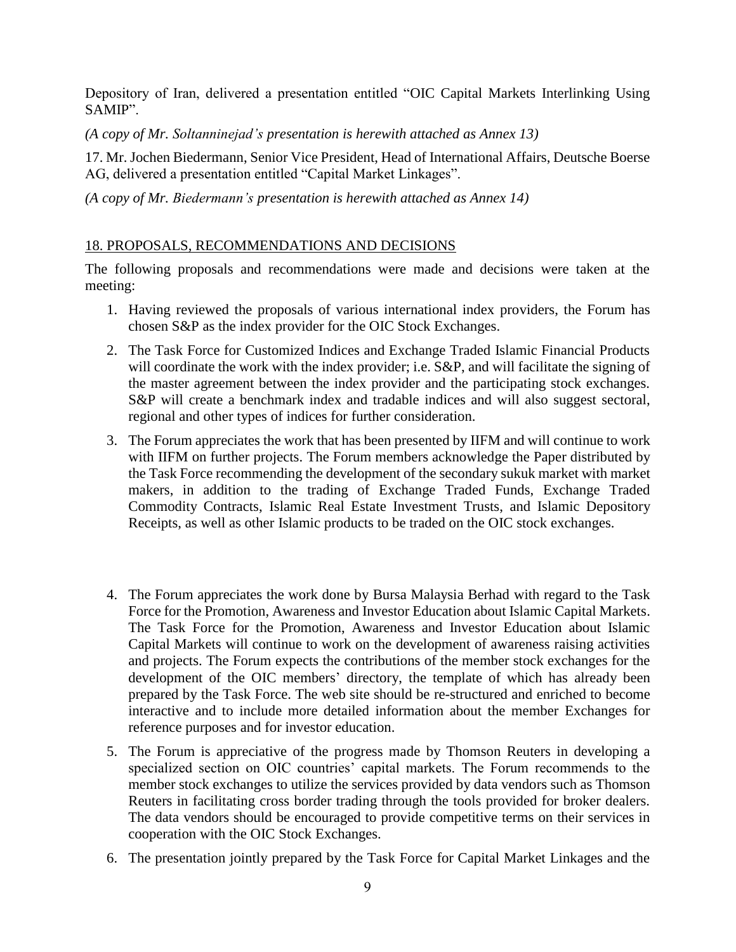Depository of Iran, delivered a presentation entitled "OIC Capital Markets Interlinking Using SAMIP".

*(A copy of Mr. Soltanninejad's presentation is herewith attached as Annex 13)*

17. Mr. Jochen Biedermann, Senior Vice President, Head of International Affairs, Deutsche Boerse AG, delivered a presentation entitled "Capital Market Linkages".

*(A copy of Mr. Biedermann's presentation is herewith attached as Annex 14)*

#### 18. PROPOSALS, RECOMMENDATIONS AND DECISIONS

The following proposals and recommendations were made and decisions were taken at the meeting:

- 1. Having reviewed the proposals of various international index providers, the Forum has chosen S&P as the index provider for the OIC Stock Exchanges.
- 2. The Task Force for Customized Indices and Exchange Traded Islamic Financial Products will coordinate the work with the index provider; i.e. S&P, and will facilitate the signing of the master agreement between the index provider and the participating stock exchanges. S&P will create a benchmark index and tradable indices and will also suggest sectoral, regional and other types of indices for further consideration.
- 3. The Forum appreciates the work that has been presented by IIFM and will continue to work with IIFM on further projects. The Forum members acknowledge the Paper distributed by the Task Force recommending the development of the secondary sukuk market with market makers, in addition to the trading of Exchange Traded Funds, Exchange Traded Commodity Contracts, Islamic Real Estate Investment Trusts, and Islamic Depository Receipts, as well as other Islamic products to be traded on the OIC stock exchanges.
- 4. The Forum appreciates the work done by Bursa Malaysia Berhad with regard to the Task Force for the Promotion, Awareness and Investor Education about Islamic Capital Markets. The Task Force for the Promotion, Awareness and Investor Education about Islamic Capital Markets will continue to work on the development of awareness raising activities and projects. The Forum expects the contributions of the member stock exchanges for the development of the OIC members' directory, the template of which has already been prepared by the Task Force. The web site should be re-structured and enriched to become interactive and to include more detailed information about the member Exchanges for reference purposes and for investor education.
- 5. The Forum is appreciative of the progress made by Thomson Reuters in developing a specialized section on OIC countries' capital markets. The Forum recommends to the member stock exchanges to utilize the services provided by data vendors such as Thomson Reuters in facilitating cross border trading through the tools provided for broker dealers. The data vendors should be encouraged to provide competitive terms on their services in cooperation with the OIC Stock Exchanges.
- 6. The presentation jointly prepared by the Task Force for Capital Market Linkages and the